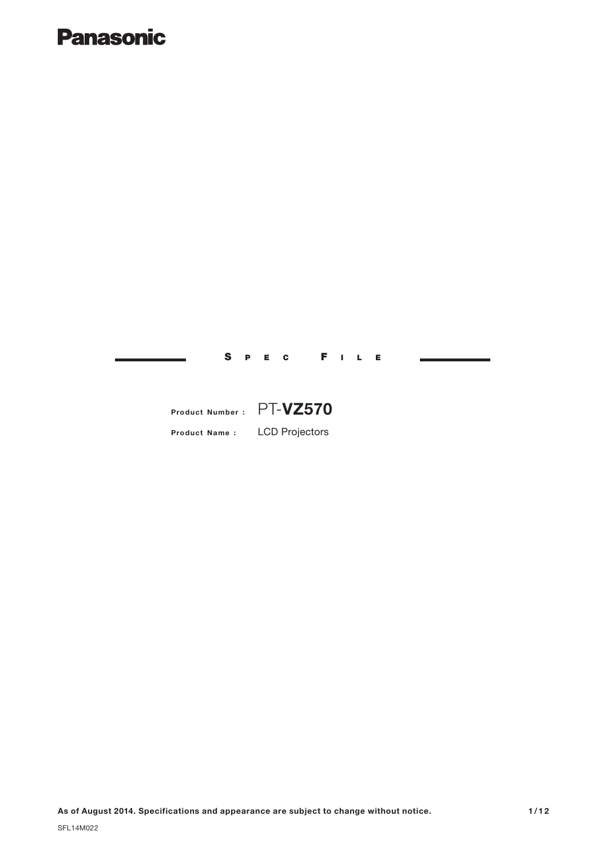# **Panasonic**

**As of August 2014. Specifications and appearance are subject to change without notice.**

**Product Name :** LCD Projectors

**Product Number :** PT-**VZ570**

S P E C F I L E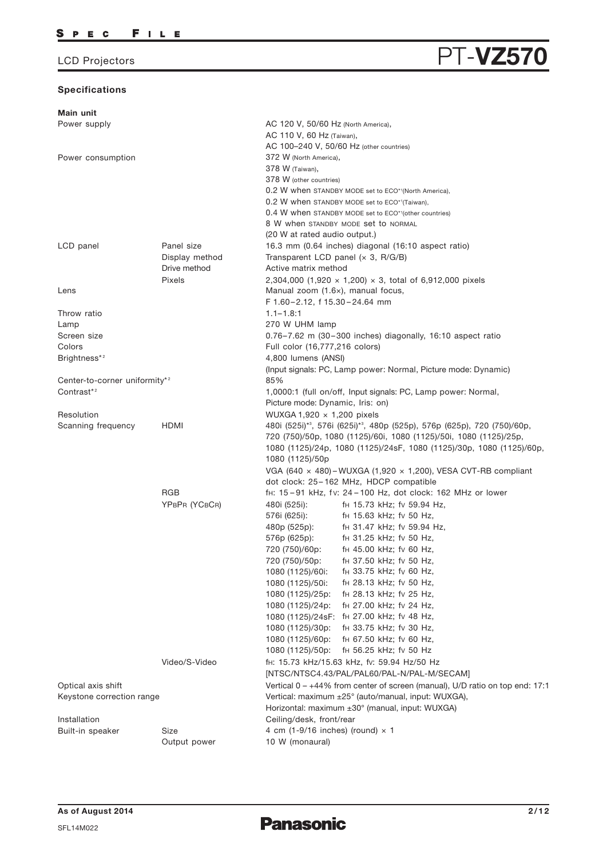## **Specifications**

| Main unit                                 |                |                                                                              |
|-------------------------------------------|----------------|------------------------------------------------------------------------------|
| Power supply                              |                | AC 120 V, 50/60 Hz (North America),                                          |
|                                           |                | AC 110 V, 60 Hz (Taiwan),                                                    |
|                                           |                | AC 100-240 V, 50/60 Hz (other countries)                                     |
| Power consumption                         |                | 372 W (North America),                                                       |
|                                           |                | 378 W (Taiwan),                                                              |
|                                           |                | 378 W (other countries)                                                      |
|                                           |                | 0.2 W when STANDBY MODE set to ECO <sup>*1</sup> (North America),            |
|                                           |                | 0.2 W when STANDBY MODE set to ECO*1(Taiwan),                                |
|                                           |                | 0.4 W when STANDBY MODE set to ECO*1(other countries)                        |
|                                           |                | 8 W when STANDBY MODE set to NORMAL                                          |
|                                           |                | (20 W at rated audio output.)                                                |
| LCD panel                                 | Panel size     | 16.3 mm (0.64 inches) diagonal (16:10 aspect ratio)                          |
|                                           | Display method | Transparent LCD panel $(x 3, R/G/B)$                                         |
|                                           | Drive method   | Active matrix method                                                         |
|                                           | Pixels         | 2,304,000 (1,920 $\times$ 1,200) $\times$ 3, total of 6,912,000 pixels       |
| Lens                                      |                | Manual zoom (1.6x), manual focus,                                            |
|                                           |                | F 1.60-2.12, f 15.30-24.64 mm                                                |
| Throw ratio                               |                | $1.1 - 1.8:1$                                                                |
| Lamp                                      |                | 270 W UHM lamp                                                               |
| Screen size                               |                | $0.76 - 7.62$ m (30-300 inches) diagonally, 16:10 aspect ratio               |
| Colors                                    |                | Full color (16,777,216 colors)                                               |
| Brightness*2                              |                | 4,800 lumens (ANSI)                                                          |
|                                           |                | (Input signals: PC, Lamp power: Normal, Picture mode: Dynamic)               |
| Center-to-corner uniformity* <sup>2</sup> |                | 85%                                                                          |
| Contrast* <sup>2</sup>                    |                | 1,0000:1 (full on/off, Input signals: PC, Lamp power: Normal,                |
|                                           |                | Picture mode: Dynamic, Iris: on)                                             |
| Resolution                                |                | WUXGA 1,920 $\times$ 1,200 pixels                                            |
| Scanning frequency                        | HDMI           | 480i (525i)*3, 576i (625i)*3, 480p (525p), 576p (625p), 720 (750)/60p,       |
|                                           |                | 720 (750)/50p, 1080 (1125)/60i, 1080 (1125)/50i, 1080 (1125)/25p,            |
|                                           |                | 1080 (1125)/24p, 1080 (1125)/24sF, 1080 (1125)/30p, 1080 (1125)/60p,         |
|                                           |                | 1080 (1125)/50p                                                              |
|                                           |                | VGA (640 $\times$ 480) – WUXGA (1,920 $\times$ 1,200), VESA CVT-RB compliant |
|                                           |                | dot clock: 25-162 MHz, HDCP compatible                                       |
|                                           | <b>RGB</b>     | fH: 15-91 kHz, fv: 24-100 Hz, dot clock: 162 MHz or lower                    |
|                                           | YPBPR (YCBCR)  | 480i (525i):<br>f <sub>H</sub> 15.73 kHz; fv 59.94 Hz,                       |
|                                           |                | 576i (625i):<br>f <sub>H</sub> 15.63 kHz; fv 50 Hz,                          |
|                                           |                | fH 31.47 kHz; fv 59.94 Hz,<br>480p (525p):                                   |
|                                           |                | 576p (625p):<br>f <sub>H</sub> 31.25 kHz; fv 50 Hz,                          |
|                                           |                | 720 (750)/60p:<br>f <sub>H</sub> 45.00 kHz; fv 60 Hz,                        |
|                                           |                | 720 (750)/50p:<br>fH 37.50 kHz; fv 50 Hz,                                    |
|                                           |                | f <sub>H</sub> 33.75 kHz; fv 60 Hz,<br>1080 (1125)/60i:                      |
|                                           |                | fH 28.13 kHz; fv 50 Hz,<br>1080 (1125)/50i:                                  |
|                                           |                | f <sub>H</sub> 28.13 kHz; fv 25 Hz,<br>1080 (1125)/25p:                      |
|                                           |                | fH 27.00 kHz; fv 24 Hz,<br>1080 (1125)/24p:                                  |
|                                           |                | 1080 (1125)/24sF: fH 27.00 kHz; fv 48 Hz,                                    |
|                                           |                | fH 33.75 kHz; fv 30 Hz,                                                      |
|                                           |                | 1080 (1125)/30p:                                                             |
|                                           |                | 1080 (1125)/60p:<br>f <sub>H</sub> 67.50 kHz; fv 60 Hz,                      |
|                                           |                | 1080 (1125)/50p:<br>fH 56.25 kHz; fv 50 Hz                                   |
|                                           | Video/S-Video  | fH: 15.73 kHz/15.63 kHz, fv: 59.94 Hz/50 Hz                                  |
|                                           |                | [NTSC/NTSC4.43/PAL/PAL60/PAL-N/PAL-M/SECAM]                                  |
| Optical axis shift                        |                | Vertical 0 - +44% from center of screen (manual), U/D ratio on top end: 17:1 |
| Keystone correction range                 |                | Vertical: maximum ±25° (auto/manual, input: WUXGA),                          |
|                                           |                | Horizontal: maximum ±30° (manual, input: WUXGA)                              |
| Installation                              |                | Ceiling/desk, front/rear                                                     |
| Built-in speaker                          | Size           | 4 cm (1-9/16 inches) (round) $\times$ 1                                      |
|                                           | Output power   | 10 W (monaural)                                                              |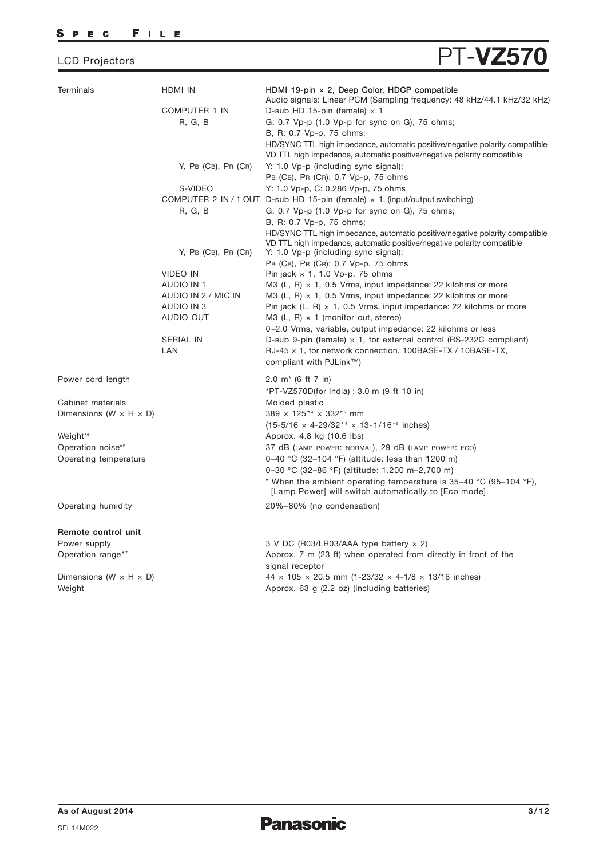## SPEC FILE

# LCD Projectors **PT-VZ570**

| <b>Terminals</b>                     | HDMI IN                 | HDMI 19-pin $\times$ 2, Deep Color, HDCP compatible<br>Audio signals: Linear PCM (Sampling frequency: 48 kHz/44.1 kHz/32 kHz)                                              |
|--------------------------------------|-------------------------|----------------------------------------------------------------------------------------------------------------------------------------------------------------------------|
|                                      | <b>COMPUTER 1 IN</b>    | D-sub HD 15-pin (female) $\times$ 1                                                                                                                                        |
|                                      | R, G, B                 | G: 0.7 Vp-p (1.0 Vp-p for sync on G), 75 ohms;                                                                                                                             |
|                                      |                         | B, R: 0.7 Vp-p, 75 ohms;                                                                                                                                                   |
|                                      |                         | HD/SYNC TTL high impedance, automatic positive/negative polarity compatible<br>VD TTL high impedance, automatic positive/negative polarity compatible                      |
|                                      | $Y$ , PB (CB), PR (CR)  | Y: 1.0 Vp-p (including sync signal);                                                                                                                                       |
|                                      |                         | PB (CB), PR (CR): 0.7 Vp-p, 75 ohms                                                                                                                                        |
|                                      | S-VIDEO                 | Y: 1.0 Vp-p, C: 0.286 Vp-p, 75 ohms                                                                                                                                        |
|                                      |                         | COMPUTER 2 IN / 1 OUT D-sub HD 15-pin (female) $\times$ 1, (input/output switching)                                                                                        |
|                                      | R, G, B                 | G: 0.7 Vp-p (1.0 Vp-p for sync on G), 75 ohms;                                                                                                                             |
|                                      |                         | B, R: 0.7 Vp-p, 75 ohms;                                                                                                                                                   |
|                                      |                         | HD/SYNC TTL high impedance, automatic positive/negative polarity compatible                                                                                                |
|                                      | $Y$ , PB (CB), PR (CR)  | VD TTL high impedance, automatic positive/negative polarity compatible<br>Y: 1.0 Vp-p (including sync signal);                                                             |
|                                      |                         | PB (CB), PR (CR): 0.7 Vp-p, 75 ohms                                                                                                                                        |
|                                      | <b>VIDEO IN</b>         | Pin jack $\times$ 1, 1.0 Vp-p, 75 ohms                                                                                                                                     |
|                                      | AUDIO IN 1              | M3 (L, R) $\times$ 1, 0.5 Vrms, input impedance: 22 kilohms or more                                                                                                        |
|                                      | AUDIO IN 2 / MIC IN     | M3 (L, R) $\times$ 1, 0.5 Vrms, input impedance: 22 kilohms or more                                                                                                        |
|                                      | AUDIO IN 3              | Pin jack $(L, R) \times 1$ , 0.5 Vrms, input impedance: 22 kilohms or more                                                                                                 |
|                                      | AUDIO OUT               | M3 (L, R) $\times$ 1 (monitor out, stereo)                                                                                                                                 |
|                                      |                         | 0-2.0 Vrms, variable, output impedance: 22 kilohms or less                                                                                                                 |
|                                      | <b>SERIAL IN</b><br>LAN | D-sub 9-pin (female) $\times$ 1, for external control (RS-232C compliant)<br>$RJ-45 \times 1$ , for network connection, 100BASE-TX / 10BASE-TX,<br>compliant with PJLink™) |
|                                      |                         |                                                                                                                                                                            |
| Power cord length                    |                         | 2.0 $m*$ (6 ft 7 in)                                                                                                                                                       |
|                                      |                         | *PT-VZ570D(for India): 3.0 m (9 ft 10 in)                                                                                                                                  |
| Cabinet materials                    |                         | Molded plastic                                                                                                                                                             |
| Dimensions (W $\times$ H $\times$ D) |                         | 389 x 125*4 x 332*5 mm                                                                                                                                                     |
|                                      |                         | $(15-5/16 \times 4-29/32^{*4} \times 13-1/16^{*5}$ inches)                                                                                                                 |
| Weight <sup>*6</sup>                 |                         | Approx. 4.8 kg (10.6 lbs)                                                                                                                                                  |
| Operation noise* <sup>2</sup>        |                         | 37 dB (LAMP POWER: NORMAL), 29 dB (LAMP POWER: ECO)                                                                                                                        |
| Operating temperature                |                         | 0–40 °C (32–104 °F) (altitude: less than 1200 m)                                                                                                                           |
|                                      |                         | 0-30 °C (32-86 °F) (altitude: 1,200 m-2,700 m)                                                                                                                             |
|                                      |                         | * When the ambient operating temperature is $35-40$ °C (95-104 °F),<br>[Lamp Power] will switch automatically to [Eco mode].                                               |
| Operating humidity                   |                         | 20%-80% (no condensation)                                                                                                                                                  |
| Remote control unit                  |                         |                                                                                                                                                                            |
| Power supply                         |                         | 3 V DC (R03/LR03/AAA type battery x 2)                                                                                                                                     |
| Operation range*7                    |                         | Approx. 7 m (23 ft) when operated from directly in front of the<br>signal receptor                                                                                         |
| Dimensions (W $\times$ H $\times$ D) |                         | $44 \times 105 \times 20.5$ mm (1-23/32 $\times$ 4-1/8 $\times$ 13/16 inches)                                                                                              |
| Weight                               |                         | Approx. 63 g (2.2 oz) (including batteries)                                                                                                                                |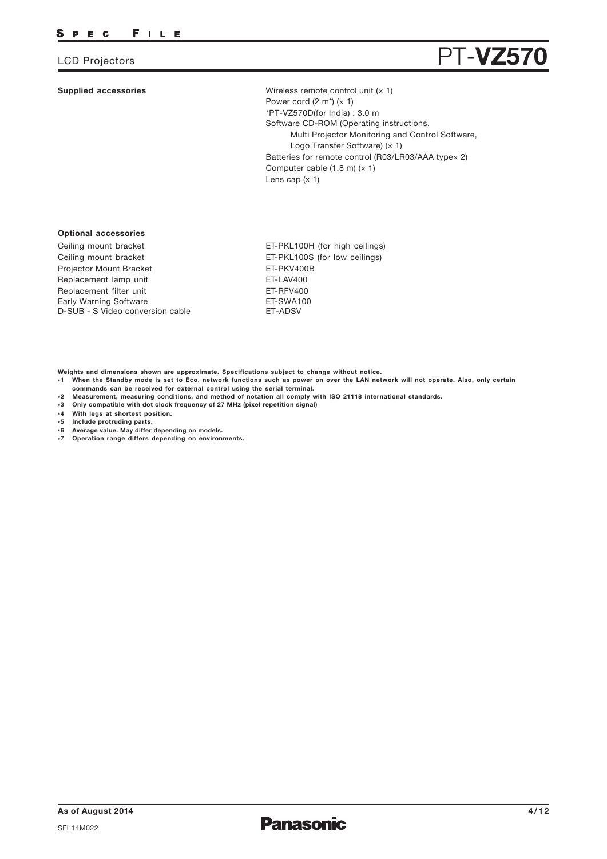### **Supplied accessories**



Wireless remote control unit  $(x 1)$ Software CD-ROM (Operating instructions, Multi Projector Monitoring and Control Software, Logo Transfer Software) (x 1) Batteries for remote control (R03/LR03/AAA typex 2) Computer cable  $(1.8 \text{ m}) (x 1)$ Lens cap (x 1) Power cord  $(2 \text{ m}^*)$   $(x 1)$ \*PT-VZ570D(for India) : 3.0 m

## **Optional accessories**

Replacement lamp unit Replacement filter unit Ceiling mount bracket Ceiling mount bracket Projector Mount Bracket Early Warning Software D-SUB - S Video conversion cable ET-LAV400 ET-RFV400 ET-PKL100H (for high ceilings) ET-PKL100S (for low ceilings) ET-PKV400B ET-SWA100 ET-ADSV

**Weights and dimensions shown are approximate. Specifications subject to change without notice.**

- **\*1 When the Standby mode is set to Eco, network functions such as power on over the LAN network will not operate. Also, only certain commands can be received for external control using the serial terminal.**
- **\*2 Measurement, measuring conditions, and method of notation all comply with ISO 21118 international standards.**
- **\*3 Only compatible with dot clock frequency of 27 MHz (pixel repetition signal)**
- **\*4 With legs at shortest position.**
- **\*5 Include protruding parts.**
- **\*6 Average value. May differ depending on models.**
- **\*7 Operation range differs depending on environments.**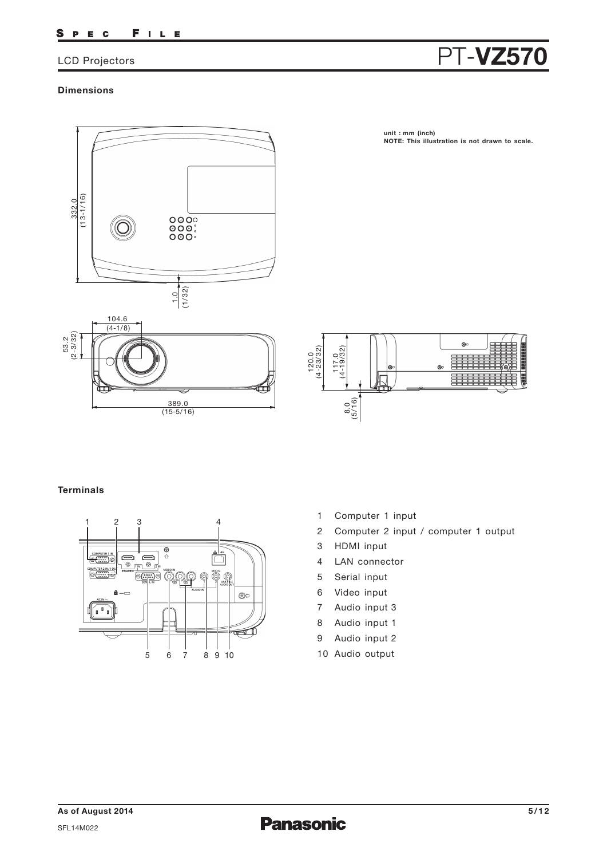### FILE S P E C

## **Dimensions**



**unit : mm (inch) NOTE: This illustration is not drawn to scale.**



## **Terminals**



- 1 Computer 1 input
- 2 Computer 2 input / computer 1 output
- 3 HDMI input
- 4 LAN connector
- 5 Serial input
- 6 Video input
- 7 Audio input 3
- 8 Audio input 1
- 9 Audio input 2
- 10 Audio output

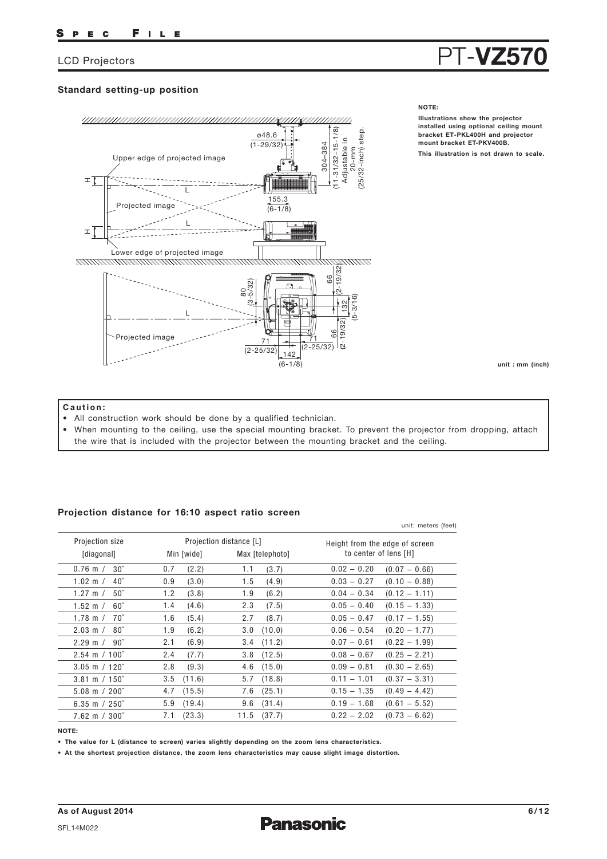## **Standard setting-up position**



## **NOTE:**

**Illustrations show the projector installed using optional ceiling mount bracket ET-PKL400H and projector mount bracket ET-PKV400B. This illustration is not drawn to scale.**

**unit : mm (inch)**

## **Caution:**

- All construction work should be done by a qualified technician.
- When mounting to the ceiling, use the special mounting bracket. To prevent the projector from dropping, attach the wire that is included with the projector between the mounting bracket and the ceiling.

## **Projection distance for 16:10 aspect ratio screen**

|                          |            |                         | unit: meters (feet)            |
|--------------------------|------------|-------------------------|--------------------------------|
| Projection size          |            | Projection distance [L] | Height from the edge of screen |
| [diagonal]               | Min [wide] | Max [telephoto]         | to center of lens [H]          |
| 30 <sup>''</sup>         | (2.2)      | (3.7)                   | $0.02 - 0.20$                  |
| $0.76$ m $/$             | 0.7        | 1.1                     | $(0.07 - 0.66)$                |
| 40 <sup>''</sup>         | (3.0)      | 1.5                     | $0.03 - 0.27$                  |
| 1.02 m $/$               | 0.9        | (4.9)                   | $(0.10 - 0.88)$                |
| $50^{\circ}$             | (3.8)      | 1.9                     | $(0.12 - 1.11)$                |
| 1.27 m $/$               | 1.2        | (6.2)                   | $0.04 - 0.34$                  |
| 1.52 m $/$               | (4.6)      | 2.3                     | $0.05 - 0.40$                  |
| $60^{\prime\prime}$      | 1.4        | (7.5)                   | $(0.15 - 1.33)$                |
| 70"                      | 1.6        | (8.7)                   | $0.05 - 0.47$                  |
| 1.78 m $/$               | (5.4)      | 2.7                     | $(0.17 - 1.55)$                |
| $80^{\circ}$             | 1.9        | (10.0)                  | $(0.20 - 1.77)$                |
| $2.03 \text{ m}$ /       | (6.2)      | 3.0                     | $0.06 - 0.54$                  |
| $90^{\circ}$             | (6.9)      | (11.2)                  | $(0.22 - 1.99)$                |
| $2.29 \text{ m}$ /       | 2.1        | 3.4                     | $0.07 - 0.61$                  |
| $2.54 \text{ m} / 100$ " | (7.7)      | (12.5)                  | $0.08 - 0.67$                  |
|                          | 2.4        | 3.8                     | $(0.25 - 2.21)$                |
| $3.05$ m / 120"          | 2.8        | (15.0)                  | $0.09 - 0.81$                  |
|                          | (9.3)      | 4.6                     | $(0.30 - 2.65)$                |
| $3.81 \text{ m} / 150$ " | (11.6)     | (18.8)                  | $0.11 - 1.01$                  |
|                          | 3.5        | 5.7                     | $(0.37 - 3.31)$                |
| $5.08 \text{ m} / 200$ " | (15.5)     | (25.1)                  | $0.15 - 1.35$                  |
|                          | 4.7        | 7.6                     | $(0.49 - 4.42)$                |
| 6.35 m $/250$ "          | (19.4)     | 9.6                     | $0.19 - 1.68$                  |
|                          | 5.9        | (31.4)                  | $(0.61 - 5.52)$                |
| $7.62 \text{ m} / 300$ " | (23.3)     | 11.5                    | $0.22 - 2.02$                  |
|                          | 7.1        | (37.7)                  | $(0.73 - 6.62)$                |
|                          |            |                         |                                |

**NOTE:**

**• The value for L (distance to screen) varies slightly depending on the zoom lens characteristics.**

**• At the shortest projection distance, the zoom lens characteristics may cause slight image distortion.**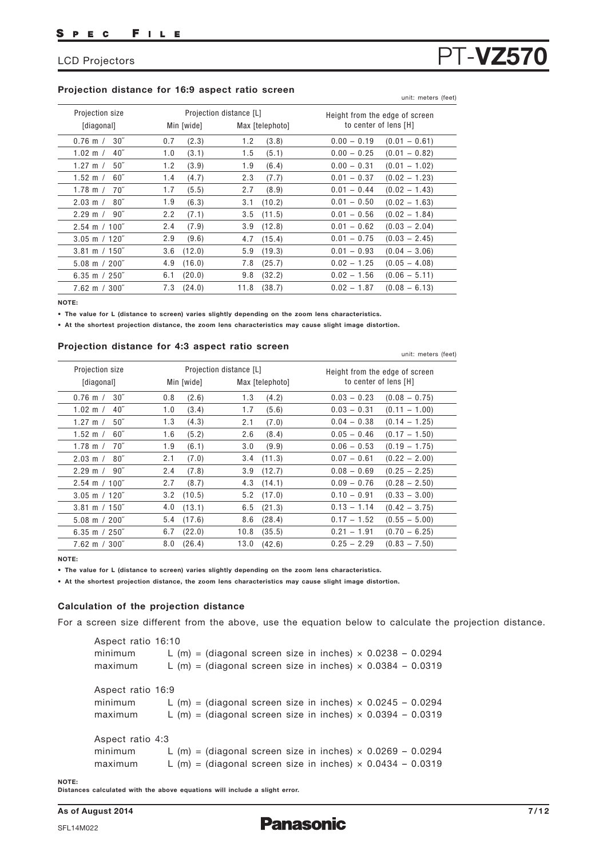## **Projection distance for 16:9 aspect ratio screen** unit: meters (feet)

| Projection size             |            | Projection distance [L] | Height from the edge of screen |
|-----------------------------|------------|-------------------------|--------------------------------|
| [diagonal]                  | Min [wide] | Max [telephoto]         | to center of lens [H]          |
| $30^{\circ}$                | (2.3)      | (3.8)                   | $0.00 - 0.19$                  |
| $0.76$ m $/$                | 0.7        | 1.2                     | $(0.01 - 0.61)$                |
| 40 <sup>''</sup>            | 1.0        | 1.5                     | $0.00 - 0.25$                  |
| $1.02 \text{ m}$ /          | (3.1)      | (5.1)                   | $(0.01 - 0.82)$                |
| $50^{\circ}$                | 1.2        | (6.4)                   | $0.00 - 0.31$                  |
| 1.27 m $/$                  | (3.9)      | 1.9                     | $(0.01 - 1.02)$                |
| $60^{\circ}$                | (4.7)      | 2.3                     | $0.01 - 0.37$                  |
| 1.52 m $/$                  | 1.4        | (7.7)                   | $(0.02 - 1.23)$                |
| $70^{\circ}$                | 1.7        | (8.9)                   | $(0.02 - 1.43)$                |
| 1.78 m $/$                  | (5.5)      | 2.7                     | $0.01 - 0.44$                  |
| $80^{\circ}$                | 1.9        | (10.2)                  | $0.01 - 0.50$                  |
| $2.03 \text{ m}$ /          | (6.3)      | 3.1                     | $(0.02 - 1.63)$                |
| $90^{\prime\prime}$         | (7.1)      | (11.5)                  | $0.01 - 0.56$                  |
| $2.29 \text{ m}$ /          | 2.2        | 3.5                     | $(0.02 - 1.84)$                |
| $2.54 \text{ m} / 100$ "    | (7.9)      | (12.8)                  | $(0.03 - 2.04)$                |
|                             | 2.4        | 3.9                     | $0.01 - 0.62$                  |
| $3.05 \text{ m} / 120$ "    | 2.9        | (15.4)                  | $0.01 - 0.75$                  |
|                             | (9.6)      | 4.7                     | $(0.03 - 2.45)$                |
| $3.81 \text{ m} / 150$ "    | (12.0)     | (19.3)                  | $0.01 - 0.93$                  |
|                             | 3.6        | 5.9                     | $(0.04 - 3.06)$                |
| $5.08 \text{ m} / 200$ "    | 4.9        | (25.7)                  | $0.02 - 1.25$                  |
|                             | (16.0)     | 7.8                     | $(0.05 - 4.08)$                |
| 6.35 m $/$ 250 <sup>"</sup> | (20.0)     | (32.2)                  | $(0.06 - 5.11)$                |
|                             | 6.1        | 9.8                     | $0.02 - 1.56$                  |
| $7.62 \text{ m} / 300$ "    | (24.0)     | (38.7)                  | $(0.08 - 6.13)$                |
|                             | 7.3        | 11.8                    | $0.02 - 1.87$                  |

**NOTE:**

**• The value for L (distance to screen) varies slightly depending on the zoom lens characteristics.**

**• At the shortest projection distance, the zoom lens characteristics may cause slight image distortion.**

## **Projection distance for 4:3 aspect ratio screen** unit: meters (feet)

| Projection size          |               | Projection distance [L] | Height from the edge of screen   |
|--------------------------|---------------|-------------------------|----------------------------------|
| [diagonal]               | Min [wide]    | Max [telephoto]         | to center of lens [H]            |
| $30^{\circ}$             | 0.8           | 1.3                     | $0.03 - 0.23$                    |
| $0.76$ m $/$             | (2.6)         | (4.2)                   | $(0.08 - 0.75)$                  |
| $1.02 \, \text{m}$ /     | (3.4)         | 1.7                     | $0.03 - 0.31$                    |
| $40^{\prime\prime}$      | 1.0           | (5.6)                   | $(0.11 - 1.00)$                  |
| 50''                     | (4.3)         | 2.1                     | $0.04 - 0.38$                    |
| 1.27 m $/$               | 1.3           | (7.0)                   | $(0.14 - 1.25)$                  |
| $1.52 \; m /$            | 1.6           | (8.4)                   | $0.05 - 0.46$                    |
| $60^{\circ}$             | (5.2)         | 2.6                     | $(0.17 - 1.50)$                  |
| 1.78 m $/$               | 1.9           | (9.9)                   | $0.06 - 0.53$                    |
| 70″                      | (6.1)         | 3.0                     | $(0.19 - 1.75)$                  |
| $2.03 \text{ m}$ /       | 2.1           | (11.3)                  | $0.07 - 0.61$                    |
| $80^{\circ}$             | (7.0)         | 3.4                     | $(0.22 - 2.00)$                  |
| 90"                      | 2.4           | (12.7)                  | $0.08 - 0.69$                    |
| $2.29 \text{ m}$ /       | (7.8)         | 3.9                     | $(0.25 - 2.25)$                  |
| $2.54 \text{ m} / 100$ " | 2.7<br>(8.7)  | $4.3$ $(14.1)$          | $0.09 - 0.76$<br>$(0.28 - 2.50)$ |
| $3.05 \text{ m}$ / 120"  | (10.5)        | (17.0)                  | $0.10 - 0.91$                    |
|                          | 3.2           | 5.2                     | $(0.33 - 3.00)$                  |
| $3.81 \text{ m} / 150$ " | (13.1)        | (21.3)                  | $0.13 - 1.14$                    |
|                          | 4.0           | 6.5                     | $(0.42 - 3.75)$                  |
| $5.08 \text{ m} / 200$ " | (17.6)        | 8.6                     | $0.17 - 1.52$                    |
|                          | 5.4           | (28.4)                  | $(0.55 - 5.00)$                  |
| 6.35 m $/250$ "          | (22.0)        | (35.5)                  | $0.21 - 1.91$                    |
|                          | 6.7           | 10.8                    | $(0.70 - 6.25)$                  |
| $7.62 \text{ m} / 300$ " | (26.4)<br>8.0 | 13.0 (42.6)             | $(0.83 - 7.50)$<br>$0.25 - 2.29$ |

**NOTE:**

**• The value for L (distance to screen) varies slightly depending on the zoom lens characteristics.**

**• At the shortest projection distance, the zoom lens characteristics may cause slight image distortion.**

### **Calculation of the projection distance**

For a screen size different from the above, use the equation below to calculate the projection distance.

Aspect ratio 16:10 minimum L  $(m)$  = (diagonal screen size in inches)  $\times$  0.0238 - 0.0294 maximum L  $(m)$  = (diagonal screen size in inches)  $\times$  0.0384 - 0.0319 Aspect ratio 16:9 minimum L  $(m)$  = (diagonal screen size in inches)  $\times$  0.0245 - 0.0294 maximum L  $(m)$  = (diagonal screen size in inches)  $\times$  0.0394 – 0.0319 Aspect ratio 4:3 minimum L  $(m)$  = (diagonal screen size in inches)  $\times$  0.0269 - 0.0294 maximum L  $(m)$  = (diagonal screen size in inches)  $\times$  0.0434 – 0.0319

**NOTE:** 

**Distances calculated with the above equations will include a slight error.**

**As of August 2014 7/12**

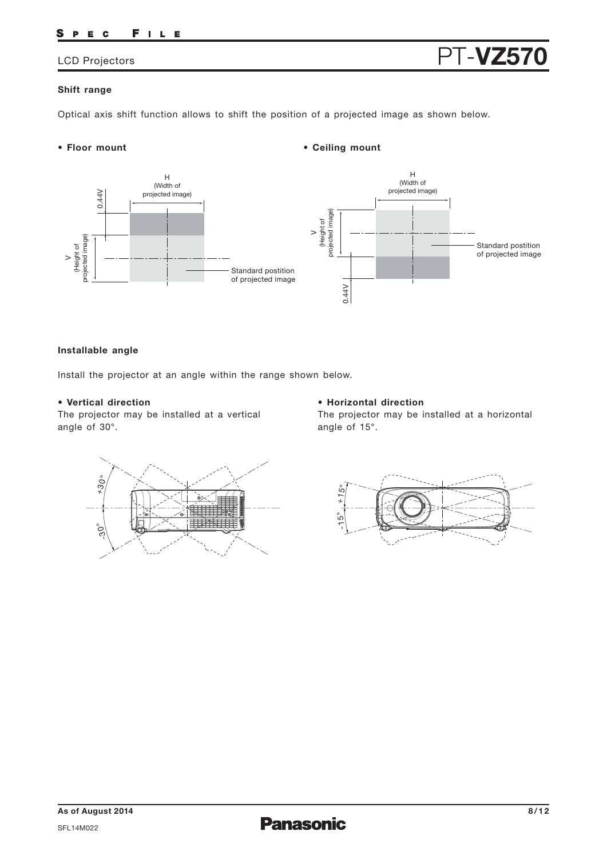### FILE S P E C

## **Shift range**

Optical axis shift function allows to shift the position of a projected image as shown below.

## **• Floor mount**



**• Ceiling mount**

## **Installable angle**

Install the projector at an angle within the range shown below.

## **• Vertical direction**

The projector may be installed at a vertical

## **• Horizontal direction**

The projector may be installed at a horizontal



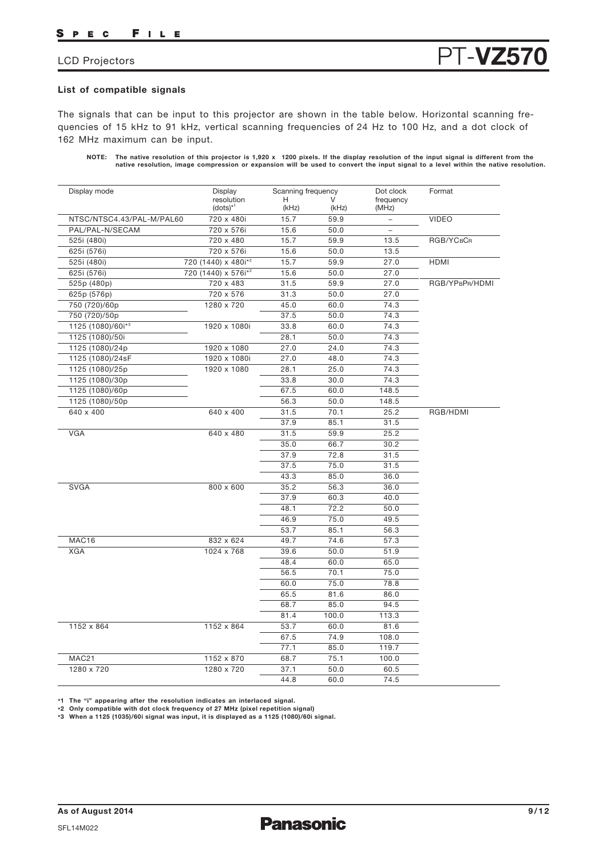## **List of compatible signals**

The signals that can be input to this projector are shown in the table below. Horizontal scanning frequencies of 15 kHz to 91 kHz, vertical scanning frequencies of 24 Hz to 100 Hz, and a dot clock of 162 MHz maximum can be input.

NOTE: The native resolution of this projector is 1,920 x 1200 pixels. If the display resolution of the input signal is different from the<br>native resolution, image compression or expansion will be used to convert the input

| Display mode              | Display                         |            | Scanning frequency |                          | Format         |
|---------------------------|---------------------------------|------------|--------------------|--------------------------|----------------|
|                           | resolution<br>$(dots)^{*1}$     | н<br>(kHz) | (kHz)              | frequency<br>(MHz)       |                |
| NTSC/NTSC4.43/PAL-M/PAL60 | 720 x 480i                      | 15.7       | 59.9               | $\overline{a}$           | <b>VIDEO</b>   |
| PAL/PAL-N/SECAM           | 720 x 576i                      | 15.6       | 50.0               | $\overline{\phantom{0}}$ |                |
| 525i (480i)               | 720 x 480                       | 15.7       | 59.9               | 13.5                     | RGB/YCBCR      |
| 625i (576i)               | 720 x 576i                      | 15.6       | 50.0               | 13.5                     |                |
| 525i (480i)               | 720 (1440) x 480i* <sup>2</sup> | 15.7       | 59.9               | 27.0                     | <b>HDMI</b>    |
| 625i (576i)               | 720 (1440) x 576i* <sup>2</sup> | 15.6       | 50.0               | 27.0                     |                |
| 525p (480p)               | 720 x 483                       | 31.5       | 59.9               | 27.0                     | RGB/YPBPR/HDMI |
| 625p (576p)               | 720 x 576                       | 31.3       | 50.0               | 27.0                     |                |
| 750 (720)/60p             | 1280 x 720                      | 45.0       | 60.0               | 74.3                     |                |
| 750 (720)/50p             |                                 | 37.5       | 50.0               | 74.3                     |                |
| 1125 (1080)/60i*3         | 1920 x 1080i                    | 33.8       | 60.0               | 74.3                     |                |
| 1125 (1080)/50i           |                                 | 28.1       | 50.0               | 74.3                     |                |
| 1125 (1080)/24p           | 1920 x 1080                     | 27.0       | 24.0               | 74.3                     |                |
| 1125 (1080)/24sF          | 1920 x 1080i                    | 27.0       | 48.0               | 74.3                     |                |
| 1125 (1080)/25p           | 1920 x 1080                     | 28.1       | 25.0               | 74.3                     |                |
| 1125 (1080)/30p           |                                 | 33.8       | 30.0               | 74.3                     |                |
| 1125 (1080)/60p           |                                 | 67.5       | 60.0               | 148.5                    |                |
| 1125 (1080)/50p           |                                 | 56.3       | 50.0               | 148.5                    |                |
| 640 x 400                 | 640 x 400                       | 31.5       | 70.1               | 25.2                     | RGB/HDMI       |
|                           |                                 | 37.9       | 85.1               | 31.5                     |                |
| <b>VGA</b>                | 640 x 480                       | 31.5       | 59.9               | 25.2                     |                |
|                           |                                 | 35.0       | 66.7               | 30.2                     |                |
|                           |                                 | 37.9       | 72.8               | 31.5                     |                |
|                           |                                 | 37.5       | 75.0               | 31.5                     |                |
|                           |                                 | 43.3       | 85.0               | 36.0                     |                |
| <b>SVGA</b>               | 800 x 600                       | 35.2       | 56.3               | 36.0                     |                |
|                           |                                 | 37.9       | 60.3               | 40.0                     |                |
|                           |                                 | 48.1       | 72.2               | 50.0                     |                |
|                           |                                 | 46.9       | 75.0               | 49.5                     |                |
|                           |                                 | 53.7       | 85.1               | 56.3                     |                |
| MAC16                     | 832 x 624                       | 49.7       | 74.6               | 57.3                     |                |
| <b>XGA</b>                | 1024 x 768                      | 39.6       | 50.0               | 51.9                     |                |
|                           |                                 | 48.4       | 60.0               | 65.0                     |                |
|                           |                                 | 56.5       | 70.1               | 75.0                     |                |
|                           |                                 | 60.0       | 75.0               | 78.8                     |                |
|                           |                                 | 65.5       | 81.6               | 86.0                     |                |
|                           |                                 | 68.7       | 85.0               | 94.5                     |                |
|                           |                                 | 81.4       | 100.0              | 113.3                    |                |
| 1152 x 864                | 1152 x 864                      | 53.7       |                    |                          |                |
|                           |                                 |            | 60.0               | 81.6                     |                |
|                           |                                 | 67.5       | 74.9               | 108.0                    |                |
|                           |                                 | 77.1       | 85.0               | 119.7                    |                |
| MAC21                     | 1152 x 870                      | 68.7       | 75.1               | 100.0                    |                |
| 1280 x 720                | 1280 x 720                      | 37.1       | 50.0               | 60.5                     |                |
|                           |                                 | 44.8       | 60.0               | 74.5                     |                |

**\*1 The "i" appearing after the resolution indicates an interlaced signal. \*2 Only compatible with dot clock frequency of 27 MHz (pixel repetition signal)**

**\*3 When a 1125 (1035)/60i signal was input, it is displayed as a 1125 (1080)/60i signal.**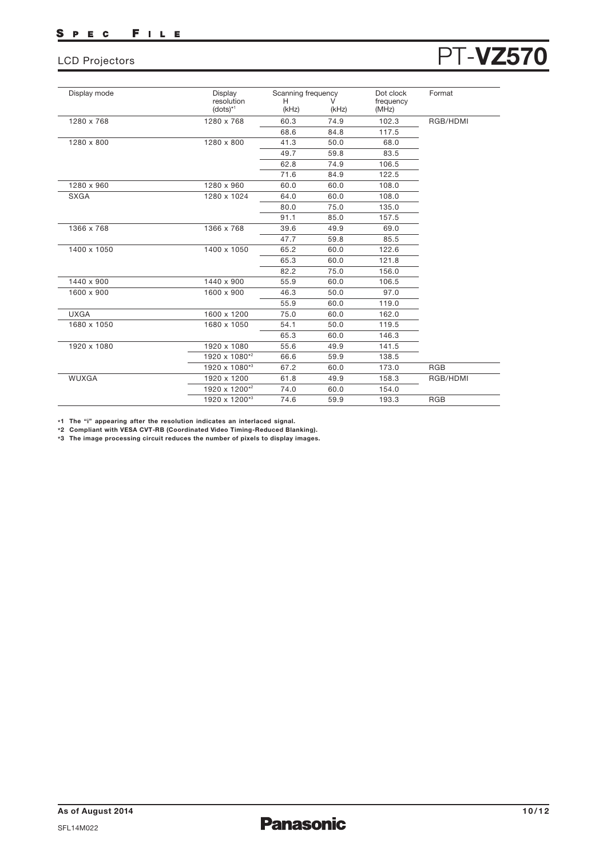| <b>LCD Projectors</b> | <b>PT-VZ570</b> |
|-----------------------|-----------------|
|-----------------------|-----------------|

| Display mode | Display                     | Scanning frequency |            | Dot clock          | Format     |
|--------------|-----------------------------|--------------------|------------|--------------------|------------|
|              | resolution<br>$(dots)^{*1}$ | н<br>(kHz)         | V<br>(kHz) | frequency<br>(MHz) |            |
| 1280 x 768   | 1280 x 768                  | 60.3               | 74.9       | 102.3              | RGB/HDMI   |
|              |                             | 68.6               | 84.8       | 117.5              |            |
| 1280 x 800   | 1280 x 800                  | 41.3               | 50.0       | 68.0               |            |
|              |                             | 49.7               | 59.8       | 83.5               |            |
|              |                             | 62.8               | 74.9       | 106.5              |            |
|              |                             | 71.6               | 84.9       | 122.5              |            |
| 1280 x 960   | 1280 x 960                  | 60.0               | 60.0       | 108.0              |            |
| <b>SXGA</b>  | 1280 x 1024                 | 64.0               | 60.0       | 108.0              |            |
|              |                             | 80.0               | 75.0       | 135.0              |            |
|              |                             | 91.1               | 85.0       | 157.5              |            |
| 1366 x 768   | 1366 x 768                  | 39.6               | 49.9       | 69.0               |            |
|              |                             | 47.7               | 59.8       | 85.5               |            |
| 1400 x 1050  | 1400 x 1050                 | 65.2               | 60.0       | 122.6              |            |
|              |                             | 65.3               | 60.0       | 121.8              |            |
|              |                             | 82.2               | 75.0       | 156.0              |            |
| 1440 x 900   | 1440 x 900                  | 55.9               | 60.0       | 106.5              |            |
| 1600 x 900   | 1600 x 900                  | 46.3               | 50.0       | 97.0               |            |
|              |                             | 55.9               | 60.0       | 119.0              |            |
| <b>UXGA</b>  | 1600 x 1200                 | 75.0               | 60.0       | 162.0              |            |
| 1680 x 1050  | 1680 x 1050                 | 54.1               | 50.0       | 119.5              |            |
|              |                             | 65.3               | 60.0       | 146.3              |            |
| 1920 x 1080  | 1920 x 1080                 | 55.6               | 49.9       | 141.5              |            |
|              | 1920 x 1080*2               | 66.6               | 59.9       | 138.5              |            |
|              | 1920 x 1080*3               | 67.2               | 60.0       | 173.0              | <b>RGB</b> |
| <b>WUXGA</b> | 1920 x 1200                 | 61.8               | 49.9       | 158.3              | RGB/HDMI   |
|              | 1920 x 1200*2               | 74.0               | 60.0       | 154.0              |            |
|              | 1920 x 1200*3               | 74.6               | 59.9       | 193.3              | <b>RGB</b> |

**\*1 The "i" appearing after the resolution indicates an interlaced signal. \*2 Compliant with VESA CVT-RB (Coordinated Video Timing-Reduced Blanking).**

**\*3 The image processing circuit reduces the number of pixels to display images.**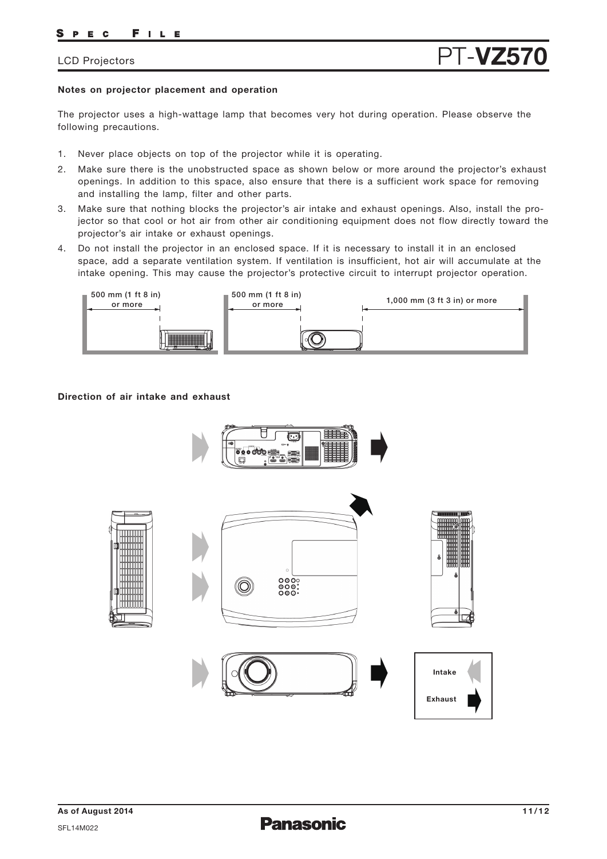## **Notes on projector placement and operation**

The projector uses a high-wattage lamp that becomes very hot during operation. Please observe the following precautions.

- 1. Never place objects on top of the projector while it is operating.
- 2. Make sure there is the unobstructed space as shown below or more around the projector's exhaust openings. In addition to this space, also ensure that there is a sufficient work space for removing and installing the lamp, filter and other parts.
- 3. Make sure that nothing blocks the projector's air intake and exhaust openings. Also, install the projector so that cool or hot air from other air conditioning equipment does not flow directly toward the projector's air intake or exhaust openings.
- 4. Do not install the projector in an enclosed space. If it is necessary to install it in an enclosed space, add a separate ventilation system. If ventilation is insufficient, hot air will accumulate at the intake opening. This may cause the projector's protective circuit to interrupt projector operation.



## **Direction of air intake and exhaust**